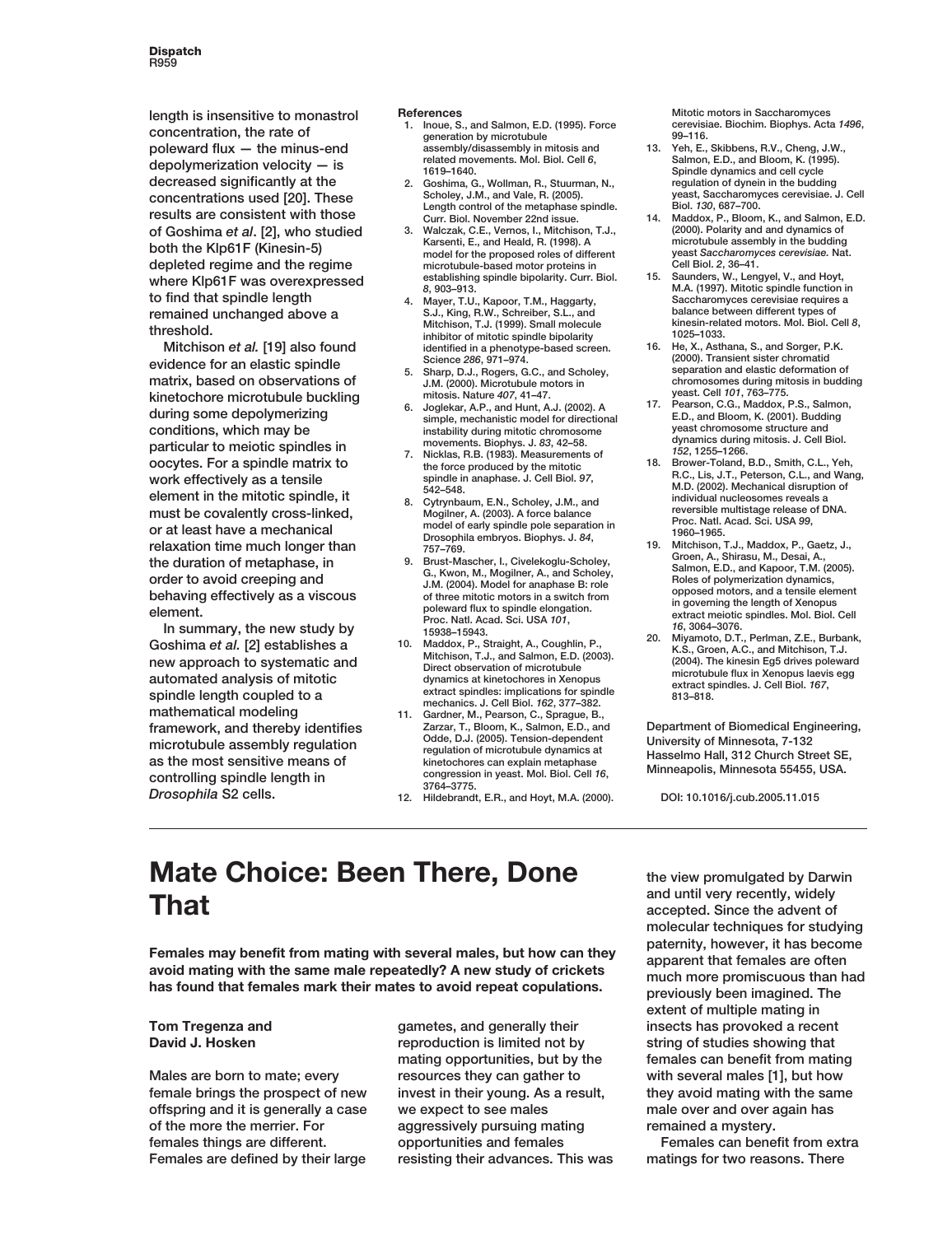**length is insensitive to monastrol concentration, the rate of poleward flux — the minus-end depolymerization velocity — is decreased significantly at the concentrations used [20]. These results are consistent with those of Goshima** *et al***. [2], who studied both the Klp61F (Kinesin-5) depleted regime and the regime where Klp61F was overexpressed to find that spindle length remained unchanged above a threshold.**

**Mitchison** *et al.* **[19] also found evidence for an elastic spindle matrix, based on observations of kinetochore microtubule buckling during some depolymerizing conditions, which may be particular to meiotic spindles in oocytes. For a spindle matrix to work effectively as a tensile element in the mitotic spindle, it must be covalently cross-linked, or at least have a mechanical relaxation time much longer than the duration of metaphase, in order to avoid creeping and behaving effectively as a viscous element.**

**In summary, the new study by Goshima** *et al.* **[2] establishes a new approach to systematic and automated analysis of mitotic spindle length coupled to a mathematical modeling framework, and thereby identifies microtubule assembly regulation as the most sensitive means of controlling spindle length in** *Drosophila* **S2 cells.**

**References**

- **1. Inoue, S., and Salmon, E.D. (1995). Force generation by microtubule assembly/disassembly in mitosis and related movements. Mol. Biol. Cell** *6***, 1619–1640.**
- **2. Goshima, G., Wollman, R., Stuurman, N., Scholey, J.M., and Vale, R. (2005). Length control of the metaphase spindle. Curr. Biol. November 22nd issue.**
- **3. Walczak, C.E., Vernos, I., Mitchison, T.J., Karsenti, E., and Heald, R. (1998). A model for the proposed roles of different microtubule-based motor proteins in establishing spindle bipolarity. Curr. Biol.** *8***, 903–913.**
- **4. Mayer, T.U., Kapoor, T.M., Haggarty, S.J., King, R.W., Schreiber, S.L., and Mitchison, T.J. (1999). Small molecule inhibitor of mitotic spindle bipolarity identified in a phenotype-based screen. Science** *286***, 971–974.**
- **5. Sharp, D.J., Rogers, G.C., and Scholey, J.M. (2000). Microtubule motors in mitosis. Nature** *407***, 41–47.**
- **6. Joglekar, A.P., and Hunt, A.J. (2002). A simple, mechanistic model for directional instability during mitotic chromosome movements. Biophys. J.** *83***, 42–58.**
- **7. Nicklas, R.B. (1983). Measurements of the force produced by the mitotic spindle in anaphase. J. Cell Biol.** *97***, 542–548.**
- **8. Cytrynbaum, E.N., Scholey, J.M., and Mogilner, A. (2003). A force balance model of early spindle pole separation in Drosophila embryos. Biophys. J.** *84***, 757–769.**
- **9. Brust-Mascher, I., Civelekoglu-Scholey, G., Kwon, M., Mogilner, A., and Scholey, J.M. (2004). Model for anaphase B: role of three mitotic motors in a switch from poleward flux to spindle elongation. Proc. Natl. Acad. Sci. USA** *101***, 15938–15943.**
- **10. Maddox, P., Straight, A., Coughlin, P., Mitchison, T.J., and Salmon, E.D. (2003). Direct observation of microtubule dynamics at kinetochores in Xenopus extract spindles: implications for spindle mechanics. J. Cell Biol.** *162***, 377–382.**
- **11. Gardner, M., Pearson, C., Sprague, B., Zarzar, T., Bloom, K., Salmon, E.D., and Odde, D.J. (2005). Tension-dependent regulation of microtubule dynamics at kinetochores can explain metaphase congression in yeast. Mol. Biol. Cell** *16***, 3764–3775.**
- **12. Hildebrandt, E.R., and Hoyt, M.A. (2000).**

**Mitotic motors in Saccharomyces cerevisiae. Biochim. Biophys. Acta** *1496***, 99–116.**

- **13. Yeh, E., Skibbens, R.V., Cheng, J.W., Salmon, E.D., and Bloom, K. (1995). Spindle dynamics and cell cycle regulation of dynein in the budding yeast, Saccharomyces cerevisiae. J. Cell Biol.** *130***, 687–700.**
- **14. Maddox, P., Bloom, K., and Salmon, E.D. (2000). Polarity and and dynamics of microtubule assembly in the budding yeast** *Saccharomyces cerevisiae.* **Nat. Cell Biol.** *2***, 36–41.**
- **15. Saunders, W., Lengyel, V., and Hoyt, M.A. (1997). Mitotic spindle function in Saccharomyces cerevisiae requires a balance between different types of kinesin-related motors. Mol. Biol. Cell** *8***, 1025–1033.**
- **16. He, X., Asthana, S., and Sorger, P.K. (2000). Transient sister chromatid separation and elastic deformation of chromosomes during mitosis in budding yeast. Cell** *101***, 763–775.**
- **17. Pearson, C.G., Maddox, P.S., Salmon, E.D., and Bloom, K. (2001). Budding yeast chromosome structure and dynamics during mitosis. J. Cell Biol.** *152***, 1255–1266.**
- **18. Brower-Toland, B.D., Smith, C.L., Yeh, R.C., Lis, J.T., Peterson, C.L., and Wang, M.D. (2002). Mechanical disruption of individual nucleosomes reveals a reversible multistage release of DNA. Proc. Natl. Acad. Sci. USA** *99***, 1960–1965.**
- **19. Mitchison, T.J., Maddox, P., Gaetz, J., Groen, A., Shirasu, M., Desai, A., Salmon, E.D., and Kapoor, T.M. (2005). Roles of polymerization dynamics, opposed motors, and a tensile element in governing the length of Xenopus extract meiotic spindles. Mol. Biol. Cell** *16***, 3064–3076.**
- **20. Miyamoto, D.T., Perlman, Z.E., Burbank, K.S., Groen, A.C., and Mitchison, T.J. (2004). The kinesin Eg5 drives poleward microtubule flux in Xenopus laevis egg extract spindles. J. Cell Biol.** *167***, 813–818.**

**Department of Biomedical Engineering, University of Minnesota, 7-132 Hasselmo Hall, 312 Church Street SE, Minneapolis, Minnesota 55455, USA.**

**DOI: 10.1016/j.cub.2005.11.015**

# **Mate Choice: Been There, Done That**

**Females may benefit from mating with several males, but how can they avoid mating with the same male repeatedly? A new study of crickets has found that females mark their mates to avoid repeat copulations.**

### **Tom Tregenza and David J. Hosken**

**Males are born to mate; every female brings the prospect of new offspring and it is generally a case of the more the merrier. For females things are different. Females are defined by their large**

**gametes, and generally their reproduction is limited not by mating opportunities, but by the resources they can gather to invest in their young. As a result, we expect to see males aggressively pursuing mating opportunities and females resisting their advances. This was**

**the view promulgated by Darwin and until very recently, widely accepted. Since the advent of molecular techniques for studying paternity, however, it has become apparent that females are often much more promiscuous than had previously been imagined. The extent of multiple mating in insects has provoked a recent string of studies showing that females can benefit from mating with several males [1], but how they avoid mating with the same male over and over again has remained a mystery.**

**Females can benefit from extra matings for two reasons. There**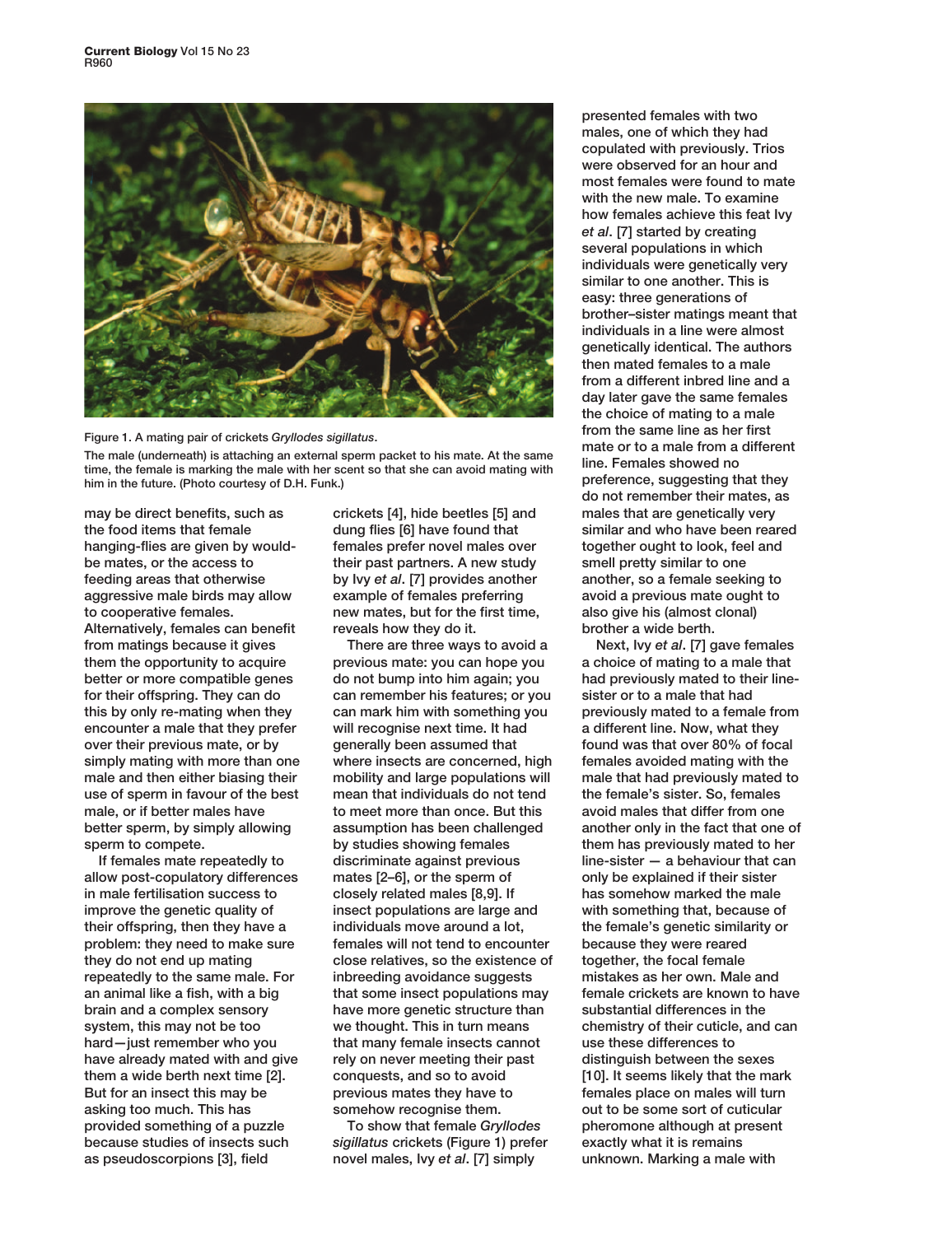



**The male (underneath) is attaching an external sperm packet to his mate. At the same time, the female is marking the male with her scent so that she can avoid mating with him in the future. (Photo courtesy of D.H. Funk.)**

**may be direct benefits, such as the food items that female hanging-flies are given by wouldbe mates, or the access to feeding areas that otherwise aggressive male birds may allow to cooperative females. Alternatively, females can benefit from matings because it gives them the opportunity to acquire better or more compatible genes for their offspring. They can do this by only re-mating when they encounter a male that they prefer over their previous mate, or by simply mating with more than one male and then either biasing their use of sperm in favour of the best male, or if better males have better sperm, by simply allowing sperm to compete.**

**If females mate repeatedly to allow post-copulatory differences in male fertilisation success to improve the genetic quality of their offspring, then they have a problem: they need to make sure they do not end up mating repeatedly to the same male. For an animal like a fish, with a big brain and a complex sensory system, this may not be too hard—just remember who you have already mated with and give them a wide berth next time [2]. But for an insect this may be asking too much. This has provided something of a puzzle because studies of insects such as pseudoscorpions [3], field**

**crickets [4], hide beetles [5] and dung flies [6] have found that females prefer novel males over their past partners. A new study by Ivy** *et al***. [7] provides another example of females preferring new mates, but for the first time, reveals how they do it.**

**There are three ways to avoid a previous mate: you can hope you do not bump into him again; you can remember his features; or you can mark him with something you will recognise next time. It had generally been assumed that where insects are concerned, high mobility and large populations will mean that individuals do not tend to meet more than once. But this assumption has been challenged by studies showing females discriminate against previous mates [2–6], or the sperm of closely related males [8,9]. If insect populations are large and individuals move around a lot, females will not tend to encounter close relatives, so the existence of inbreeding avoidance suggests that some insect populations may have more genetic structure than we thought. This in turn means that many female insects cannot rely on never meeting their past conquests, and so to avoid previous mates they have to somehow recognise them.**

**To show that female** *Gryllodes sigillatus* **crickets (Figure 1) prefer novel males, Ivy** *et al***. [7] simply**

**presented females with two males, one of which they had copulated with previously. Trios were observed for an hour and most females were found to mate with the new male. To examine how females achieve this feat Ivy** *et al***. [7] started by creating several populations in which individuals were genetically very similar to one another. This is easy: three generations of brother–sister matings meant that individuals in a line were almost genetically identical. The authors then mated females to a male from a different inbred line and a day later gave the same females the choice of mating to a male from the same line as her first mate or to a male from a different line. Females showed no preference, suggesting that they do not remember their mates, as males that are genetically very similar and who have been reared together ought to look, feel and smell pretty similar to one another, so a female seeking to avoid a previous mate ought to also give his (almost clonal) brother a wide berth.**

**Next, Ivy** *et al***. [7] gave females a choice of mating to a male that had previously mated to their linesister or to a male that had previously mated to a female from a different line. Now, what they found was that over 80% of focal females avoided mating with the male that had previously mated to the female's sister. So, females avoid males that differ from one another only in the fact that one of them has previously mated to her line-sister — a behaviour that can only be explained if their sister has somehow marked the male with something that, because of the female's genetic similarity or because they were reared together, the focal female mistakes as her own. Male and female crickets are known to have substantial differences in the chemistry of their cuticle, and can use these differences to distinguish between the sexes [10]. It seems likely that the mark females place on males will turn out to be some sort of cuticular pheromone although at present exactly what it is remains unknown. Marking a male with**